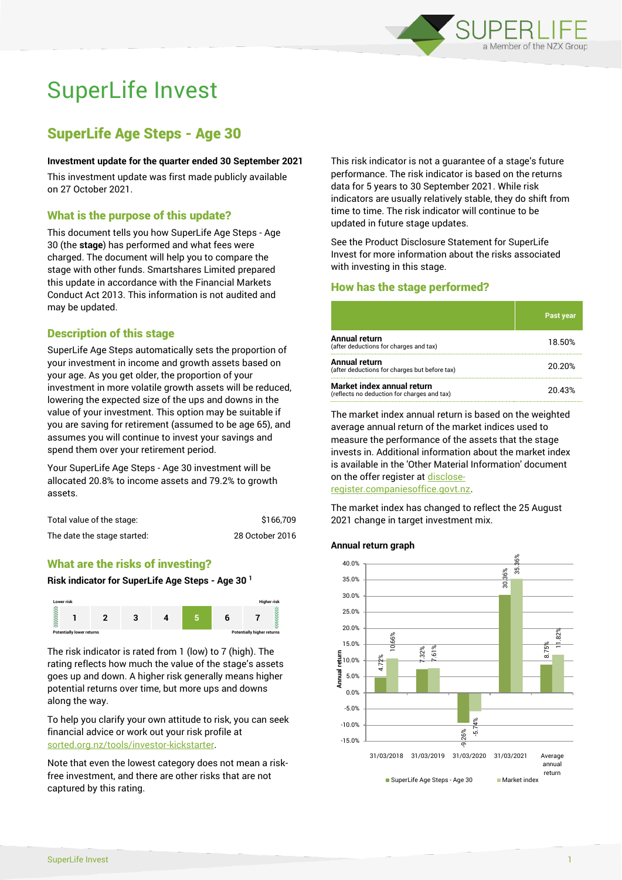

# SuperLife Invest

# SuperLife Age Steps - Age 30

#### **Investment update for the quarter ended 30 September 2021**

This investment update was first made publicly available on 27 October 2021.

# What is the purpose of this update?

This document tells you how SuperLife Age Steps - Age 30 (the **stage**) has performed and what fees were charged. The document will help you to compare the stage with other funds. Smartshares Limited prepared this update in accordance with the Financial Markets Conduct Act 2013. This information is not audited and may be updated.

# Description of this stage

SuperLife Age Steps automatically sets the proportion of your investment in income and growth assets based on your age. As you get older, the proportion of your investment in more volatile growth assets will be reduced, lowering the expected size of the ups and downs in the value of your investment. This option may be suitable if you are saving for retirement (assumed to be age 65), and assumes you will continue to invest your savings and spend them over your retirement period.

Your SuperLife Age Steps - Age 30 investment will be allocated 20.8% to income assets and 79.2% to growth assets.

| Total value of the stage:   | \$166,709       |
|-----------------------------|-----------------|
| The date the stage started: | 28 October 2016 |

# What are the risks of investing?

#### **Risk indicator for SuperLife Age Steps - Age 30 <sup>1</sup>**



The risk indicator is rated from 1 (low) to 7 (high). The rating reflects how much the value of the stage's assets goes up and down. A higher risk generally means higher potential returns over time, but more ups and downs along the way.

To help you clarify your own attitude to risk, you can seek financial advice or work out your risk profile at [sorted.org.nz/tools/investor-kickstarter.](http://www.sorted.org.nz/tools/investor-kickstarter)

Note that even the lowest category does not mean a riskfree investment, and there are other risks that are not captured by this rating.

This risk indicator is not a guarantee of a stage's future performance. The risk indicator is based on the returns data for 5 years to 30 September 2021. While risk indicators are usually relatively stable, they do shift from time to time. The risk indicator will continue to be updated in future stage updates.

See the Product Disclosure Statement for SuperLife Invest for more information about the risks associated with investing in this stage.

# How has the stage performed?

|                                                                           | <b>Past year</b> |
|---------------------------------------------------------------------------|------------------|
| Annual return<br>(after deductions for charges and tax)                   | 18.50%           |
| Annual return<br>(after deductions for charges but before tax)            | 20.20%           |
| Market index annual return<br>(reflects no deduction for charges and tax) | 20.43%           |

The market index annual return is based on the weighted average annual return of the market indices used to measure the performance of the assets that the stage invests in. Additional information about the market index is available in the 'Other Material Information' document on the offer register a[t disclose-](http://www.disclose-register.companiesoffice.govt.nz/)

[register.companiesoffice.govt.nz.](http://www.disclose-register.companiesoffice.govt.nz/)

The market index has changed to reflect the 25 August 2021 change in target investment mix.

#### **Annual return graph**

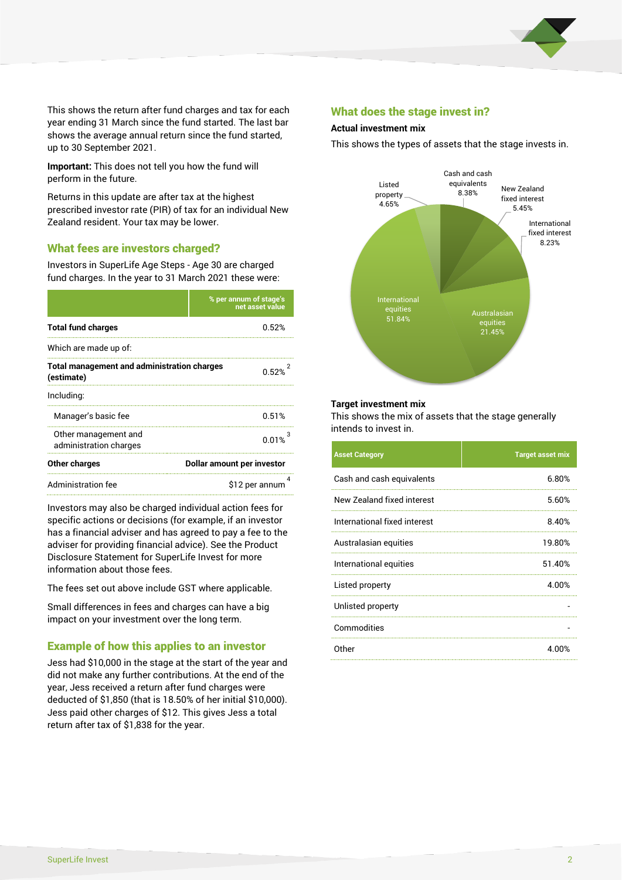

This shows the return after fund charges and tax for each year ending 31 March since the fund started. The last bar shows the average annual return since the fund started, up to 30 September 2021.

**Important:** This does not tell you how the fund will perform in the future.

Returns in this update are after tax at the highest prescribed investor rate (PIR) of tax for an individual New Zealand resident. Your tax may be lower.

# What fees are investors charged?

Investors in SuperLife Age Steps - Age 30 are charged fund charges. In the year to 31 March 2021 these were:

|                                                                  | % per annum of stage's<br>net asset value |  |
|------------------------------------------------------------------|-------------------------------------------|--|
| <b>Total fund charges</b>                                        | በ 52%                                     |  |
| Which are made up of:                                            |                                           |  |
| <b>Total management and administration charges</b><br>(estimate) | በ 52%                                     |  |
| Including:                                                       |                                           |  |
| Manager's basic fee                                              | 0.51%                                     |  |
| Other management and<br>administration charges                   | 0.01%                                     |  |
| Other charges                                                    | Dollar amount per investor                |  |
| Administration fee                                               | \$12 per annum                            |  |

Investors may also be charged individual action fees for specific actions or decisions (for example, if an investor has a financial adviser and has agreed to pay a fee to the adviser for providing financial advice). See the Product Disclosure Statement for SuperLife Invest for more information about those fees.

The fees set out above include GST where applicable.

Small differences in fees and charges can have a big impact on your investment over the long term.

# Example of how this applies to an investor

Jess had \$10,000 in the stage at the start of the year and did not make any further contributions. At the end of the year, Jess received a return after fund charges were deducted of \$1,850 (that is 18.50% of her initial \$10,000). Jess paid other charges of \$12. This gives Jess a total return after tax of \$1,838 for the year.

## What does the stage invest in?

#### **Actual investment mix**

This shows the types of assets that the stage invests in.



#### **Target investment mix**

This shows the mix of assets that the stage generally intends to invest in.

| <b>Asset Category</b>        | <b>Target asset mix</b> |
|------------------------------|-------------------------|
| Cash and cash equivalents    | 6.80%                   |
| New Zealand fixed interest   | 5.60%                   |
| International fixed interest | 8.40%                   |
| Australasian equities        | 19.80%                  |
| International equities       | 51.40%                  |
| Listed property              | 4.00%                   |
| Unlisted property            |                         |
| Commodities                  |                         |
| 0ther                        | 4.00%                   |